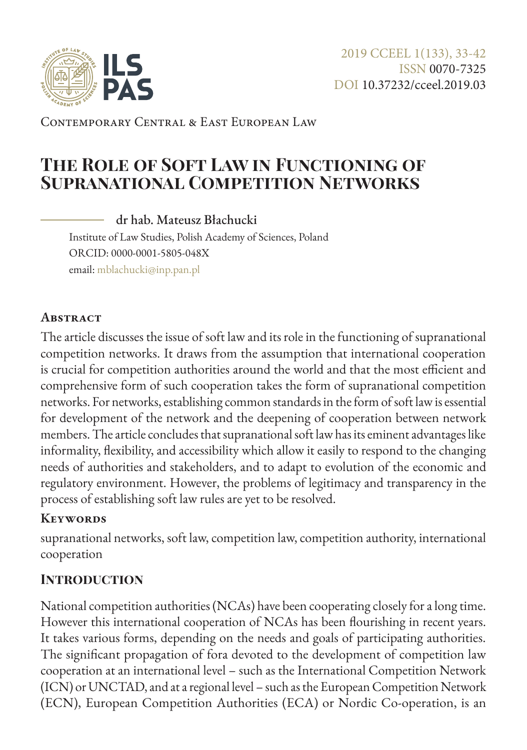

Contemporary Central & East European Law

# **The Role of Soft Law in Functioning of Supranational Competition Networks**

dr hab. Mateusz Błachucki

Institute of Law Studies, Polish Academy of Sciences, Poland ORCID: 0000-0001-5805-048X email: [mblachucki@inp.pan.pl](mailto:mblachucki%40inp.pan.pl?subject=)

#### **Abstract**

The article discusses the issue of soft law and its role in the functioning of supranational competition networks. It draws from the assumption that international cooperation is crucial for competition authorities around the world and that the most efficient and comprehensive form of such cooperation takes the form of supranational competition networks. For networks, establishing common standards in the form of soft law is essential for development of the network and the deepening of cooperation between network members. The article concludes that supranational soft law has its eminent advantages like informality, flexibility, and accessibility which allow it easily to respond to the changing needs of authorities and stakeholders, and to adapt to evolution of the economic and regulatory environment. However, the problems of legitimacy and transparency in the process of establishing soft law rules are yet to be resolved.

#### **Keywords**

supranational networks, soft law, competition law, competition authority, international cooperation

### **Introduction**

National competition authorities (NCAs) have been cooperating closely for a long time. However this international cooperation of NCAs has been flourishing in recent years. It takes various forms, depending on the needs and goals of participating authorities. The significant propagation of fora devoted to the development of competition law cooperation at an international level – such as the International Competition Network (ICN) or UNCTAD, and at a regional level – such as the European Competition Network (ECN), European Competition Authorities (ECA) or Nordic Co-operation, is an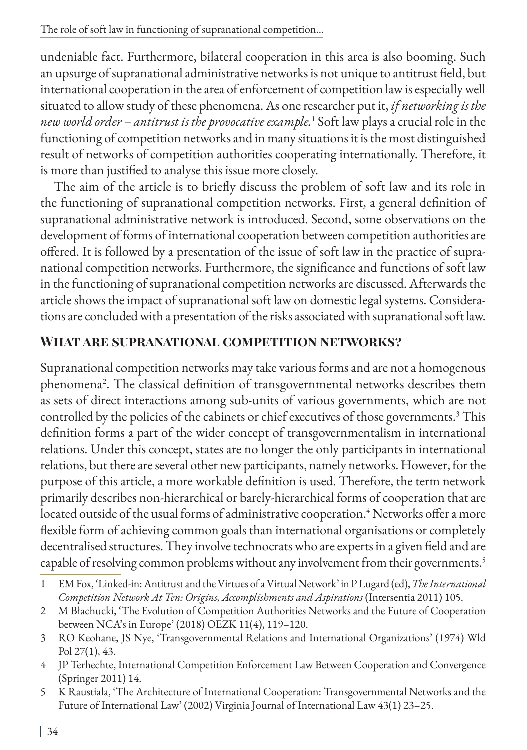undeniable fact. Furthermore, bilateral cooperation in this area is also booming. Such an upsurge of supranational administrative networks is not unique to antitrust field, but international cooperation in the area of enforcement of competition law is especially well situated to allow study of these phenomena. As one researcher put it, *if networking is the new world order – antitrust is the provocative example.*<sup>1</sup> Soft law plays a crucial role in the functioning of competition networks and in many situations it is the most distinguished result of networks of competition authorities cooperating internationally. Therefore, it is more than justified to analyse this issue more closely.

The aim of the article is to briefly discuss the problem of soft law and its role in the functioning of supranational competition networks. First, a general definition of supranational administrative network is introduced. Second, some observations on the development of forms of international cooperation between competition authorities are offered. It is followed by a presentation of the issue of soft law in the practice of supranational competition networks. Furthermore, the significance and functions of soft law in the functioning of supranational competition networks are discussed. Afterwards the article shows the impact of supranational soft law on domestic legal systems. Considerations are concluded with a presentation of the risks associated with supranational soft law.

#### **What are supranational competition networks?**

Supranational competition networks may take various forms and are not a homogenous phenomena2 . The classical definition of transgovernmental networks describes them as sets of direct interactions among sub-units of various governments, which are not controlled by the policies of the cabinets or chief executives of those governments.<sup>3</sup> This definition forms a part of the wider concept of transgovernmentalism in international relations. Under this concept, states are no longer the only participants in international relations, but there are several other new participants, namely networks. However, for the purpose of this article, a more workable definition is used. Therefore, the term network primarily describes non-hierarchical or barely-hierarchical forms of cooperation that are located outside of the usual forms of administrative cooperation.<sup>4</sup> Networks offer a more flexible form of achieving common goals than international organisations or completely decentralised structures. They involve technocrats who are experts in a given field and are capable of resolving common problems without any involvement from their governments.<sup>5</sup>

- 4 JP Terhechte, International Competition Enforcement Law Between Cooperation and Convergence (Springer 2011) 14.
- 5 K Raustiala, 'The Architecture of International Cooperation: Transgovernmental Networks and the Future of International Law' (2002) Virginia Journal of International Law 43(1) 23–25.

<sup>1</sup> EM Fox, 'Linked-in: Antitrust and the Virtues of a Virtual Network' in P Lugard (ed), *The International Competition Network At Ten: Origins, Accomplishments and Aspirations* (Intersentia 2011) 105.

<sup>2</sup> M Błachucki, 'The Evolution of Competition Authorities Networks and the Future of Cooperation between NCA's in Europe' (2018) OEZK 11(4), 119–120.

<sup>3</sup> RO Keohane, JS Nye, 'Transgovernmental Relations and International Organizations' (1974) Wld Pol 27(1), 43.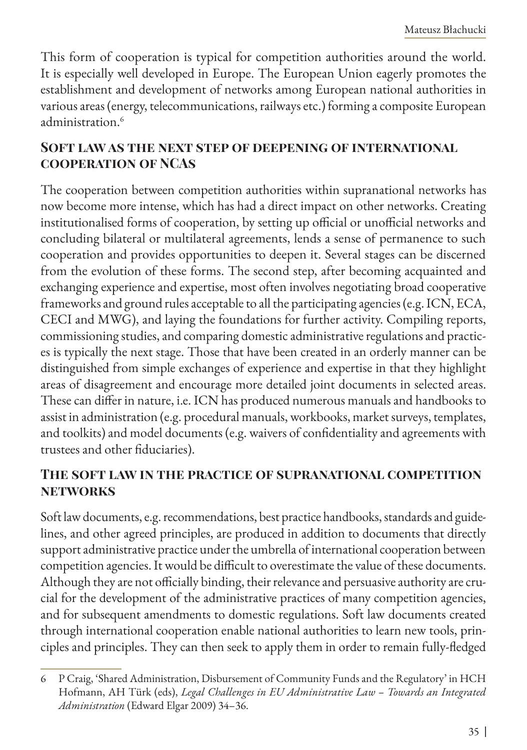This form of cooperation is typical for competition authorities around the world. It is especially well developed in Europe. The European Union eagerly promotes the establishment and development of networks among European national authorities in various areas (energy, telecommunications, railways etc.) forming a composite European administration.<sup>6</sup>

## **Soft law as the next step of deepening of international cooperation of NCAs**

The cooperation between competition authorities within supranational networks has now become more intense, which has had a direct impact on other networks. Creating institutionalised forms of cooperation, by setting up official or unofficial networks and concluding bilateral or multilateral agreements, lends a sense of permanence to such cooperation and provides opportunities to deepen it. Several stages can be discerned from the evolution of these forms. The second step, after becoming acquainted and exchanging experience and expertise, most often involves negotiating broad cooperative frameworks and ground rules acceptable to all the participating agencies (e.g. ICN, ECA, CECI and MWG), and laying the foundations for further activity. Compiling reports, commissioning studies, and comparing domestic administrative regulations and practices is typically the next stage. Those that have been created in an orderly manner can be distinguished from simple exchanges of experience and expertise in that they highlight areas of disagreement and encourage more detailed joint documents in selected areas. These can differ in nature, i.e. ICN has produced numerous manuals and handbooks to assist in administration (e.g. procedural manuals, workbooks, market surveys, templates, and toolkits) and model documents (e.g. waivers of confidentiality and agreements with trustees and other fiduciaries).

### **The soft law in the practice of supranational competition networks**

Soft law documents, e.g. recommendations, best practice handbooks, standards and guidelines, and other agreed principles, are produced in addition to documents that directly support administrative practice under the umbrella of international cooperation between competition agencies. It would be difficult to overestimate the value of these documents. Although they are not officially binding, their relevance and persuasive authority are crucial for the development of the administrative practices of many competition agencies, and for subsequent amendments to domestic regulations. Soft law documents created through international cooperation enable national authorities to learn new tools, principles and principles. They can then seek to apply them in order to remain fully-fledged

<sup>6</sup> P Craig, 'Shared Administration, Disbursement of Community Funds and the Regulatory' in HCH Hofmann, AH Türk (eds), *Legal Challenges in EU Administrative Law – Towards an Integrated Administration* (Edward Elgar 2009) 34–36.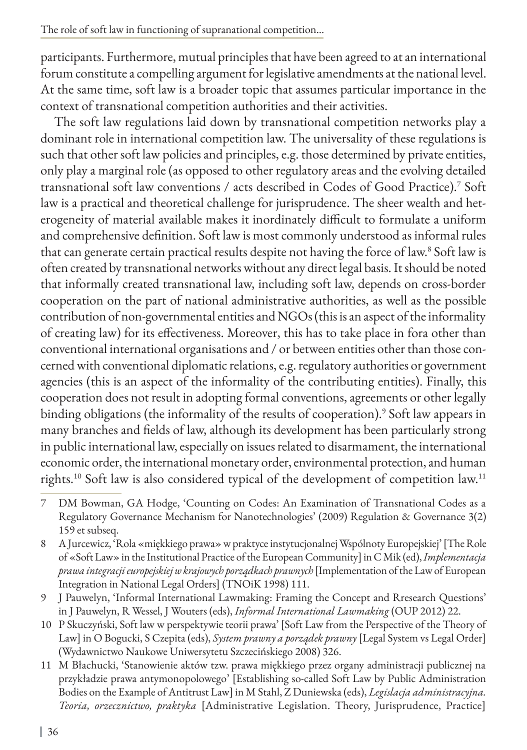participants. Furthermore, mutual principles that have been agreed to at an international forum constitute a compelling argument for legislative amendments at the national level. At the same time, soft law is a broader topic that assumes particular importance in the context of transnational competition authorities and their activities.

The soft law regulations laid down by transnational competition networks play a dominant role in international competition law. The universality of these regulations is such that other soft law policies and principles, e.g. those determined by private entities, only play a marginal role (as opposed to other regulatory areas and the evolving detailed transnational soft law conventions / acts described in Codes of Good Practice).7 Soft law is a practical and theoretical challenge for jurisprudence. The sheer wealth and heterogeneity of material available makes it inordinately difficult to formulate a uniform and comprehensive definition. Soft law is most commonly understood as informal rules that can generate certain practical results despite not having the force of law.<sup>8</sup> Soft law is often created by transnational networks without any direct legal basis. It should be noted that informally created transnational law, including soft law, depends on cross-border cooperation on the part of national administrative authorities, as well as the possible contribution of non-governmental entities and NGOs (this is an aspect of the informality of creating law) for its effectiveness. Moreover, this has to take place in fora other than conventional international organisations and / or between entities other than those concerned with conventional diplomatic relations, e.g. regulatory authorities or government agencies (this is an aspect of the informality of the contributing entities). Finally, this cooperation does not result in adopting formal conventions, agreements or other legally binding obligations (the informality of the results of cooperation).<sup>9</sup> Soft law appears in many branches and fields of law, although its development has been particularly strong in public international law, especially on issues related to disarmament, the international economic order, the international monetary order, environmental protection, and human rights.10 Soft law is also considered typical of the development of competition law.<sup>11</sup>

<sup>7</sup> DM Bowman, GA Hodge, 'Counting on Codes: An Examination of Transnational Codes as a Regulatory Governance Mechanism for Nanotechnologies' (2009) Regulation & Governance 3(2) 159 et subseq.

<sup>8</sup> A Jurcewicz, 'Rola «miękkiego prawa» w praktyce instytucjonalnej Wspólnoty Europejskiej' [The Role of «Soft Law» in the Institutional Practice of the European Community] in C Mik (ed), *Implementacja prawa integracji europejskiej w krajowych porządkach prawnych* [Implementation of the Law of European Integration in National Legal Orders] (TNOiK 1998) 111.

<sup>9</sup> J Pauwelyn, 'Informal International Lawmaking: Framing the Concept and Rresearch Questions' in J Pauwelyn, R Wessel, J Wouters (eds), *Informal International Lawmaking* (OUP 2012) 22.

<sup>10</sup> P Skuczyński, Soft law w perspektywie teorii prawa' [Soft Law from the Perspective of the Theory of Law] in O Bogucki, S Czepita (eds), *System prawny a porządek prawny* [Legal System vs Legal Order] (Wydawnictwo Naukowe Uniwersytetu Szczecińskiego 2008) 326.

<sup>11</sup> M Błachucki, 'Stanowienie aktów tzw. prawa miękkiego przez organy administracji publicznej na przykładzie prawa antymonopolowego' [Establishing so-called Soft Law by Public Administration Bodies on the Example of Antitrust Law] in M Stahl, Z Duniewska (eds), *Legislacja administracyjna. Teoria, orzecznictwo, praktyka* [Administrative Legislation. Theory, Jurisprudence, Practice]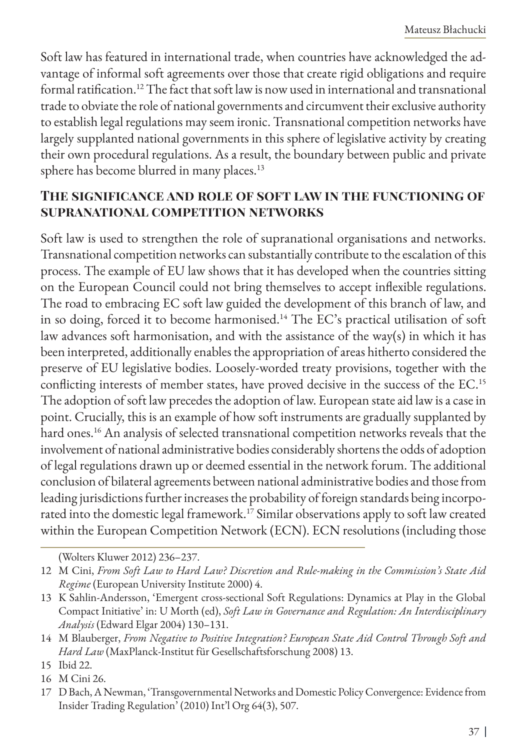Soft law has featured in international trade, when countries have acknowledged the advantage of informal soft agreements over those that create rigid obligations and require formal ratification.12 The fact that soft law is now used in international and transnational trade to obviate the role of national governments and circumvent their exclusive authority to establish legal regulations may seem ironic. Transnational competition networks have largely supplanted national governments in this sphere of legislative activity by creating their own procedural regulations. As a result, the boundary between public and private sphere has become blurred in many places.<sup>13</sup>

#### **The significance and role of soft law in the functioning of supranational competition networks**

Soft law is used to strengthen the role of supranational organisations and networks. Transnational competition networks can substantially contribute to the escalation of this process. The example of EU law shows that it has developed when the countries sitting on the European Council could not bring themselves to accept inflexible regulations. The road to embracing EC soft law guided the development of this branch of law, and in so doing, forced it to become harmonised.<sup>14</sup> The EC's practical utilisation of soft law advances soft harmonisation, and with the assistance of the way(s) in which it has been interpreted, additionally enables the appropriation of areas hitherto considered the preserve of EU legislative bodies. Loosely-worded treaty provisions, together with the conflicting interests of member states, have proved decisive in the success of the EC.15 The adoption of soft law precedes the adoption of law. European state aid law is a case in point. Crucially, this is an example of how soft instruments are gradually supplanted by hard ones.<sup>16</sup> An analysis of selected transnational competition networks reveals that the involvement of national administrative bodies considerably shortens the odds of adoption of legal regulations drawn up or deemed essential in the network forum. The additional conclusion of bilateral agreements between national administrative bodies and those from leading jurisdictions further increases the probability of foreign standards being incorporated into the domestic legal framework.17 Similar observations apply to soft law created within the European Competition Network (ECN). ECN resolutions (including those

<sup>(</sup>Wolters Kluwer 2012) 236–237.

<sup>12</sup> M Cini, *From Soft Law to Hard Law? Discretion and Rule-making in the Commission's State Aid Regime* (European University Institute 2000) 4.

<sup>13</sup> K Sahlin-Andersson, 'Emergent cross-sectional Soft Regulations: Dynamics at Play in the Global Compact Initiative' in: U Morth (ed), *Soft Law in Governance and Regulation: An Interdisciplinary Analysis* (Edward Elgar 2004) 130–131.

<sup>14</sup> M Blauberger, *From Negative to Positive Integration? European State Aid Control Through Soft and Hard Law* (MaxPlanck-Institut für Gesellschaftsforschung 2008) 13.

<sup>15</sup> Ibid 22.

<sup>16</sup> M Cini 26.

<sup>17</sup> D Bach, A Newman, 'Transgovernmental Networks and Domestic Policy Convergence: Evidence from Insider Trading Regulation' (2010) Int'l Org 64(3), 507.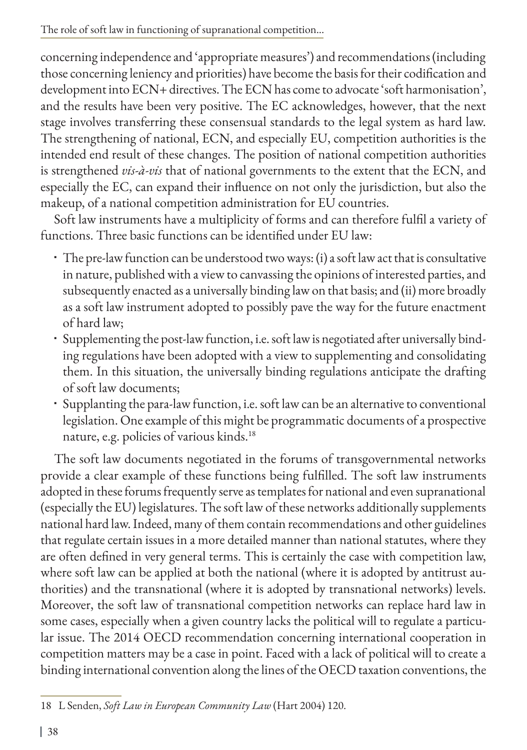concerning independence and 'appropriate measures') and recommendations (including those concerning leniency and priorities) have become the basis for their codification and development into ECN+ directives. The ECN has come to advocate 'soft harmonisation', and the results have been very positive. The EC acknowledges, however, that the next stage involves transferring these consensual standards to the legal system as hard law. The strengthening of national, ECN, and especially EU, competition authorities is the intended end result of these changes. The position of national competition authorities is strengthened *vis-à-vis* that of national governments to the extent that the ECN, and especially the EC, can expand their influence on not only the jurisdiction, but also the makeup, of a national competition administration for EU countries.

Soft law instruments have a multiplicity of forms and can therefore fulfil a variety of functions. Three basic functions can be identified under EU law:

- The pre-law function can be understood two ways: (i) a soft law act that is consultative in nature, published with a view to canvassing the opinions of interested parties, and subsequently enacted as a universally binding law on that basis; and (ii) more broadly as a soft law instrument adopted to possibly pave the way for the future enactment of hard law;
- Supplementing the post-law function, i.e. soft law is negotiated after universally binding regulations have been adopted with a view to supplementing and consolidating them. In this situation, the universally binding regulations anticipate the drafting of soft law documents;
- Supplanting the para-law function, i.e. soft law can be an alternative to conventional legislation. One example of this might be programmatic documents of a prospective nature, e.g. policies of various kinds.18

The soft law documents negotiated in the forums of transgovernmental networks provide a clear example of these functions being fulfilled. The soft law instruments adopted in these forums frequently serve as templates for national and even supranational (especially the EU) legislatures. The soft law of these networks additionally supplements national hard law. Indeed, many of them contain recommendations and other guidelines that regulate certain issues in a more detailed manner than national statutes, where they are often defined in very general terms. This is certainly the case with competition law, where soft law can be applied at both the national (where it is adopted by antitrust authorities) and the transnational (where it is adopted by transnational networks) levels. Moreover, the soft law of transnational competition networks can replace hard law in some cases, especially when a given country lacks the political will to regulate a particular issue. The 2014 OECD recommendation concerning international cooperation in competition matters may be a case in point. Faced with a lack of political will to create a binding international convention along the lines of the OECD taxation conventions, the

<sup>18</sup> L Senden, *Soft Law in European Community Law* (Hart 2004) 120.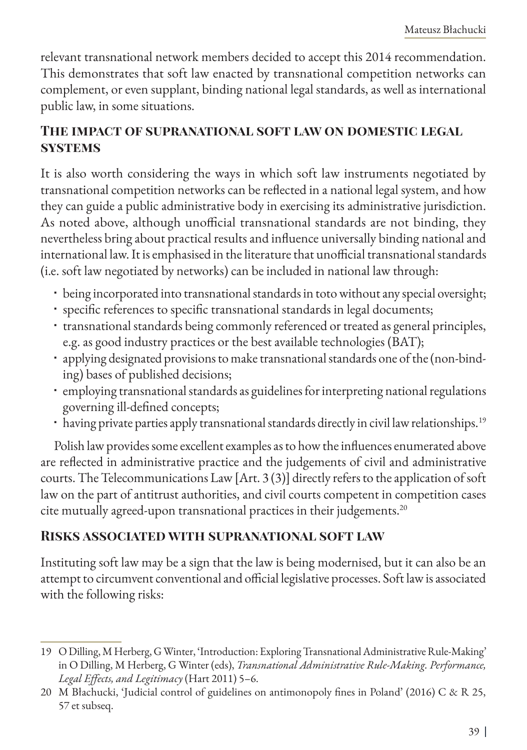relevant transnational network members decided to accept this 2014 recommendation. This demonstrates that soft law enacted by transnational competition networks can complement, or even supplant, binding national legal standards, as well as international public law, in some situations.

## **The impact of supranational soft law on domestic legal systems**

It is also worth considering the ways in which soft law instruments negotiated by transnational competition networks can be reflected in a national legal system, and how they can guide a public administrative body in exercising its administrative jurisdiction. As noted above, although unofficial transnational standards are not binding, they nevertheless bring about practical results and influence universally binding national and international law. It is emphasised in the literature that unofficial transnational standards (i.e. soft law negotiated by networks) can be included in national law through:

- being incorporated into transnational standards in toto without any special oversight;
- specific references to specific transnational standards in legal documents;
- transnational standards being commonly referenced or treated as general principles, e.g. as good industry practices or the best available technologies (BAT);
- applying designated provisions to make transnational standards one of the (non-binding) bases of published decisions;
- employing transnational standards as guidelines for interpreting national regulations governing ill-defined concepts;
- having private parties apply transnational standards directly in civil law relationships.<sup>19</sup>

Polish law provides some excellent examples as to how the influences enumerated above are reflected in administrative practice and the judgements of civil and administrative courts. The Telecommunications Law [Art. 3 (3)] directly refers to the application of soft law on the part of antitrust authorities, and civil courts competent in competition cases cite mutually agreed-upon transnational practices in their judgements.20

## **Risks associated with supranational soft law**

Instituting soft law may be a sign that the law is being modernised, but it can also be an attempt to circumvent conventional and official legislative processes. Soft law is associated with the following risks:

<sup>19</sup> O Dilling, M Herberg, G Winter, 'Introduction: Exploring Transnational Administrative Rule-Making' in O Dilling, M Herberg, G Winter (eds), *Transnational Administrative Rule-Making. Performance, Legal Effects, and Legitimacy* (Hart 2011) 5–6.

<sup>20</sup> M Błachucki, 'Judicial control of guidelines on antimonopoly fines in Poland' (2016) C & R 25, 57 et subseq.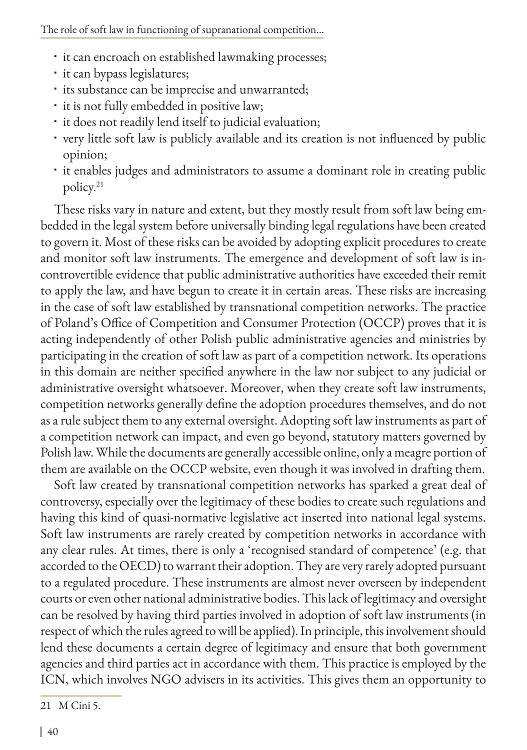- $\cdot$  it can encroach on established lawmaking processes;
- $\cdot$  it can bypass legislatures;
- · its substance can be imprecise and unwarranted;
- it is not fully embedded in positive law;
- it does not readily lend itself to judicial evaluation;
- very little soft law is publicly available and its creation is not influenced by public opinion;
- it enables judges and administrators to assume a dominant role in creating public policy.<sup>21</sup>

These risks vary in nature and extent, but they mostly result from soft law being embedded in the legal system before universally binding legal regulations have been created to govern it. Most of these risks can be avoided by adopting explicit procedures to create and monitor soft law instruments. The emergence and development of soft law is incontrovertible evidence that public administrative authorities have exceeded their remit to apply the law, and have begun to create it in certain areas. These risks are increasing in the case of soft law established by transnational competition networks. The practice of Poland's Office of Competition and Consumer Protection (OCCP) proves that it is acting independently of other Polish public administrative agencies and ministries by participating in the creation of soft law as part of a competition network. Its operations in this domain are neither specified anywhere in the law nor subject to any judicial or administrative oversight whatsoever. Moreover, when they create soft law instruments, competition networks generally define the adoption procedures themselves, and do not as a rule subject them to any external oversight. Adopting soft law instruments as part of a competition network can impact, and even go beyond, statutory matters governed by Polish law. While the documents are generally accessible online, only a meagre portion of them are available on the OCCP website, even though it was involved in drafting them.

Soft law created by transnational competition networks has sparked a great deal of controversy, especially over the legitimacy of these bodies to create such regulations and having this kind of quasi-normative legislative act inserted into national legal systems. Soft law instruments are rarely created by competition networks in accordance with any clear rules. At times, there is only a 'recognised standard of competence' (e.g. that accorded to the OECD) to warrant their adoption. They are very rarely adopted pursuant to a regulated procedure. These instruments are almost never overseen by independent courts or even other national administrative bodies. This lack of legitimacy and oversight can be resolved by having third parties involved in adoption of soft law instruments (in respect of which the rules agreed to will be applied). In principle, this involvement should lend these documents a certain degree of legitimacy and ensure that both government agencies and third parties act in accordance with them. This practice is employed by the ICN, which involves NGO advisers in its activities. This gives them an opportunity to

<sup>21</sup> M Cini 5.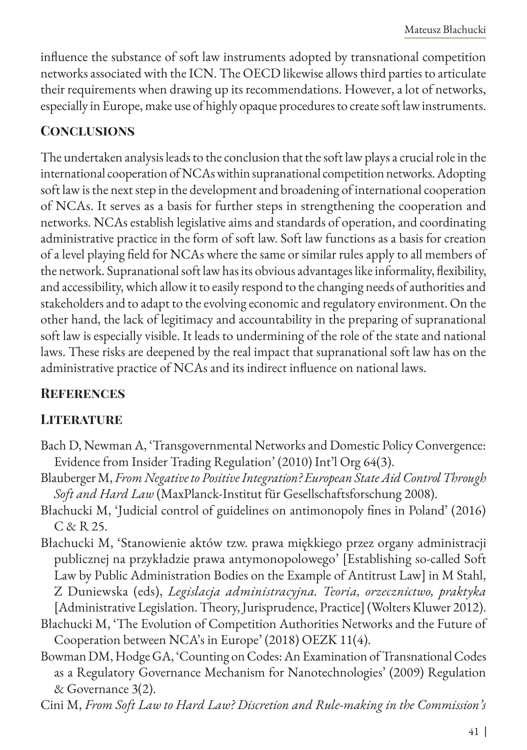influence the substance of soft law instruments adopted by transnational competition networks associated with the ICN. The OECD likewise allows third parties to articulate their requirements when drawing up its recommendations. However, a lot of networks, especially in Europe, make use of highly opaque procedures to create soft law instruments.

# **Conclusions**

The undertaken analysis leads to the conclusion that the soft law plays a crucial role in the international cooperation of NCAs within supranational competition networks. Adopting soft law is the next step in the development and broadening of international cooperation of NCAs. It serves as a basis for further steps in strengthening the cooperation and networks. NCAs establish legislative aims and standards of operation, and coordinating administrative practice in the form of soft law. Soft law functions as a basis for creation of a level playing field for NCAs where the same or similar rules apply to all members of the network. Supranational soft law has its obvious advantages like informality, flexibility, and accessibility, which allow it to easily respond to the changing needs of authorities and stakeholders and to adapt to the evolving economic and regulatory environment. On the other hand, the lack of legitimacy and accountability in the preparing of supranational soft law is especially visible. It leads to undermining of the role of the state and national laws. These risks are deepened by the real impact that supranational soft law has on the administrative practice of NCAs and its indirect influence on national laws.

## **References**

## **LITERATURE**

- Bach D, Newman A, 'Transgovernmental Networks and Domestic Policy Convergence: Evidence from Insider Trading Regulation' (2010) Int'l Org 64(3).
- Blauberger M, *From Negative to Positive Integration? European State Aid Control Through Soft and Hard Law* (MaxPlanck-Institut für Gesellschaftsforschung 2008).
- Błachucki M, 'Judicial control of guidelines on antimonopoly fines in Poland' (2016)  $C & R$  25.
- Błachucki M, 'Stanowienie aktów tzw. prawa miękkiego przez organy administracji publicznej na przykładzie prawa antymonopolowego' [Establishing so-called Soft Law by Public Administration Bodies on the Example of Antitrust Law] in M Stahl, Z Duniewska (eds), *Legislacja administracyjna. Teoria, orzecznictwo, praktyka* [Administrative Legislation. Theory, Jurisprudence, Practice] (Wolters Kluwer 2012).
- Błachucki M, 'The Evolution of Competition Authorities Networks and the Future of Cooperation between NCA's in Europe' (2018) OEZK 11(4).
- Bowman DM, Hodge GA, 'Counting on Codes: An Examination of Transnational Codes as a Regulatory Governance Mechanism for Nanotechnologies' (2009) Regulation & Governance 3(2).
- Cini M, *From Soft Law to Hard Law? Discretion and Rule-making in the Commission's*